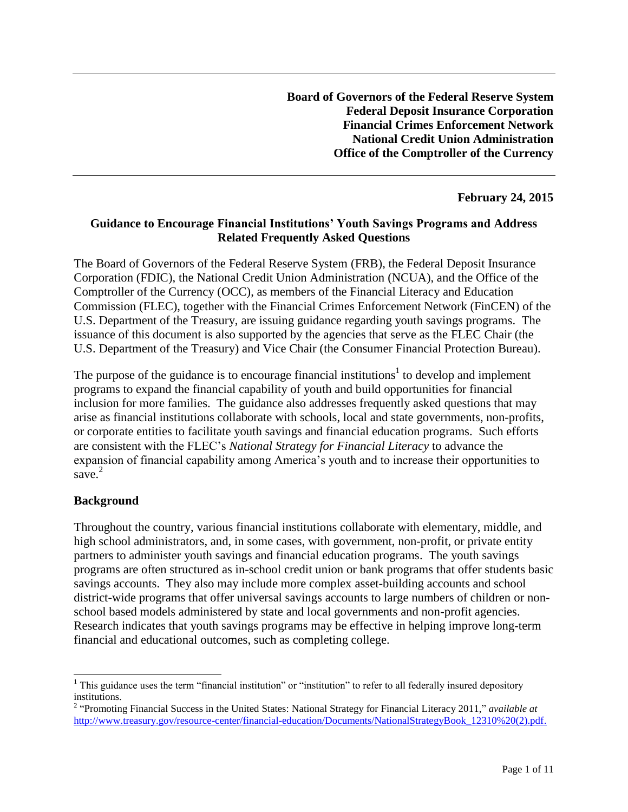**Board of Governors of the Federal Reserve System Federal Deposit Insurance Corporation Financial Crimes Enforcement Network National Credit Union Administration Office of the Comptroller of the Currency**

**February 24, 2015**

### **Guidance to Encourage Financial Institutions' Youth Savings Programs and Address Related Frequently Asked Questions**

The Board of Governors of the Federal Reserve System (FRB), the Federal Deposit Insurance Corporation (FDIC), the National Credit Union Administration (NCUA), and the Office of the Comptroller of the Currency (OCC), as members of the Financial Literacy and Education Commission (FLEC), together with the Financial Crimes Enforcement Network (FinCEN) of the U.S. Department of the Treasury, are issuing guidance regarding youth savings programs. The issuance of this document is also supported by the agencies that serve as the FLEC Chair (the U.S. Department of the Treasury) and Vice Chair (the Consumer Financial Protection Bureau).

The purpose of the guidance is to encourage financial institutions<sup>1</sup> to develop and implement programs to expand the financial capability of youth and build opportunities for financial inclusion for more families. The guidance also addresses frequently asked questions that may arise as financial institutions collaborate with schools, local and state governments, non-profits, or corporate entities to facilitate youth savings and financial education programs. Such efforts are consistent with the FLEC's *National Strategy for Financial Literacy* to advance the expansion of financial capability among America's youth and to increase their opportunities to save. 2

## **Background**

 $\overline{a}$ 

Throughout the country, various financial institutions collaborate with elementary, middle, and high school administrators, and, in some cases, with government, non-profit, or private entity partners to administer youth savings and financial education programs. The youth savings programs are often structured as in-school credit union or bank programs that offer students basic savings accounts. They also may include more complex asset-building accounts and school district-wide programs that offer universal savings accounts to large numbers of children or nonschool based models administered by state and local governments and non-profit agencies. Research indicates that youth savings programs may be effective in helping improve long-term financial and educational outcomes, such as completing college.

<sup>&</sup>lt;sup>1</sup> This guidance uses the term "financial institution" or "institution" to refer to all federally insured depository institutions.

<sup>2</sup> "Promoting Financial Success in the United States: National Strategy for Financial Literacy 2011," *available at* [http://www.treasury.gov/resource-center/financial-education/Documents/NationalStrategyBook\\_12310%20\(2\).pdf.](http://www.treasury.gov/resource-center/financial-education/Documents/NationalStrategyBook_12310%20(2).pdf)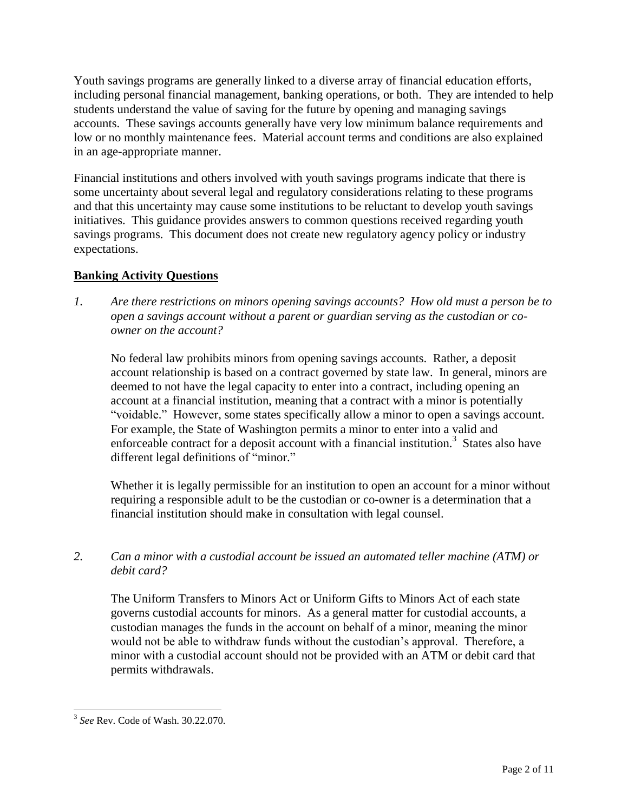Youth savings programs are generally linked to a diverse array of financial education efforts, including personal financial management, banking operations, or both. They are intended to help students understand the value of saving for the future by opening and managing savings accounts. These savings accounts generally have very low minimum balance requirements and low or no monthly maintenance fees. Material account terms and conditions are also explained in an age-appropriate manner.

Financial institutions and others involved with youth savings programs indicate that there is some uncertainty about several legal and regulatory considerations relating to these programs and that this uncertainty may cause some institutions to be reluctant to develop youth savings initiatives. This guidance provides answers to common questions received regarding youth savings programs. This document does not create new regulatory agency policy or industry expectations.

# **Banking Activity Questions**

*1. Are there restrictions on minors opening savings accounts? How old must a person be to open a savings account without a parent or guardian serving as the custodian or coowner on the account?*

No federal law prohibits minors from opening savings accounts. Rather, a deposit account relationship is based on a contract governed by state law. In general, minors are deemed to not have the legal capacity to enter into a contract, including opening an account at a financial institution, meaning that a contract with a minor is potentially "voidable." However, some states specifically allow a minor to open a savings account. For example, the State of Washington permits a minor to enter into a valid and enforceable contract for a deposit account with a financial institution.<sup>3</sup> States also have different legal definitions of "minor."

Whether it is legally permissible for an institution to open an account for a minor without requiring a responsible adult to be the custodian or co-owner is a determination that a financial institution should make in consultation with legal counsel.

*2. Can a minor with a custodial account be issued an automated teller machine (ATM) or debit card?* 

The Uniform Transfers to Minors Act or Uniform Gifts to Minors Act of each state governs custodial accounts for minors. As a general matter for custodial accounts, a custodian manages the funds in the account on behalf of a minor, meaning the minor would not be able to withdraw funds without the custodian's approval. Therefore, a minor with a custodial account should not be provided with an ATM or debit card that permits withdrawals.

 3 *See* Rev. Code of Wash. 30.22.070.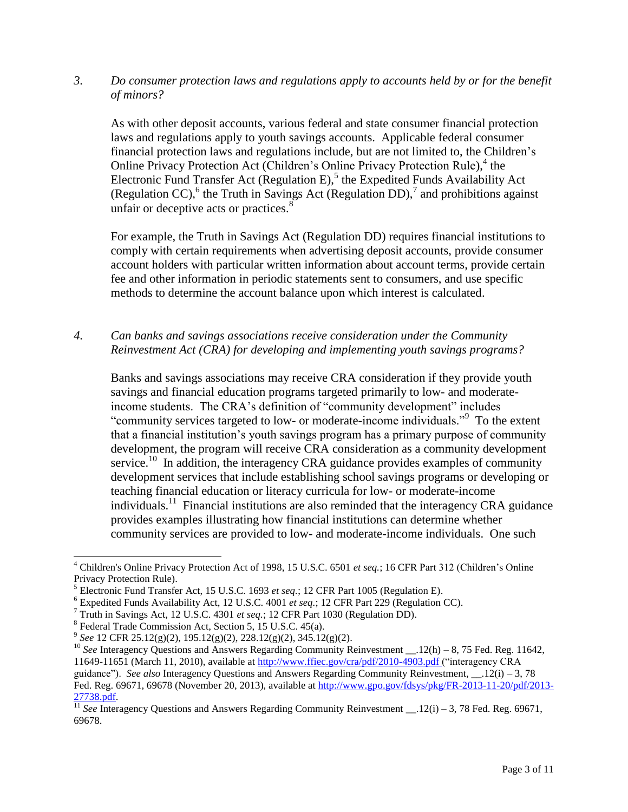*3. Do consumer protection laws and regulations apply to accounts held by or for the benefit of minors?* 

As with other deposit accounts, various federal and state consumer financial protection laws and regulations apply to youth savings accounts. Applicable federal consumer financial protection laws and regulations include, but are not limited to, the Children's Online Privacy Protection Act (Children's Online Privacy Protection Rule),<sup>4</sup> the Electronic Fund Transfer Act (Regulation E),<sup>5</sup> the Expedited Funds Availability Act (Regulation CC),  $6$  the Truth in Savings Act (Regulation DD),  $7$  and prohibitions against unfair or deceptive acts or practices. $8^8$ 

For example, the Truth in Savings Act (Regulation DD) requires financial institutions to comply with certain requirements when advertising deposit accounts, provide consumer account holders with particular written information about account terms, provide certain fee and other information in periodic statements sent to consumers, and use specific methods to determine the account balance upon which interest is calculated.

*4. Can banks and savings associations receive consideration under the Community Reinvestment Act (CRA) for developing and implementing youth savings programs?* 

Banks and savings associations may receive CRA consideration if they provide youth savings and financial education programs targeted primarily to low- and moderateincome students. The CRA's definition of "community development" includes "community services targeted to low- or moderate-income individuals."<sup>9</sup> To the extent that a financial institution's youth savings program has a primary purpose of community development, the program will receive CRA consideration as a community development service.<sup>10</sup> In addition, the interagency CRA guidance provides examples of community development services that include establishing school savings programs or developing or teaching financial education or literacy curricula for low- or moderate-income individuals.<sup>11</sup> Financial institutions are also reminded that the interagency CRA guidance provides examples illustrating how financial institutions can determine whether community services are provided to low- and moderate-income individuals. One such

l

<sup>4</sup> Children's Online Privacy Protection Act of 1998, 15 U.S.C. 6501 *et seq.*; 16 CFR Part 312 (Children's Online Privacy Protection Rule).

<sup>5</sup> Electronic Fund Transfer Act, 15 U.S.C. 1693 *et seq.*; 12 CFR Part 1005 (Regulation E).

<sup>6</sup> Expedited Funds Availability Act, 12 U.S.C. 4001 *et seq.*; 12 CFR Part 229 (Regulation CC).

<sup>7</sup> Truth in Savings Act, 12 U.S.C. 4301 *et seq.*; 12 CFR Part 1030 (Regulation DD).

<sup>&</sup>lt;sup>8</sup> Federal Trade Commission Act, Section 5, 15 U.S.C. 45(a).

<sup>9</sup> *See* 12 CFR 25.12(g)(2), 195.12(g)(2), 228.12(g)(2), 345.12(g)(2).

<sup>&</sup>lt;sup>10</sup> *See* Interagency Questions and Answers Regarding Community Reinvestment \_\_.12(h) – 8, 75 Fed. Reg. 11642, 11649-11651 (March 11, 2010), available at<http://www.ffiec.gov/cra/pdf/2010-4903.pdf> ("interagency CRA guidance"). *See also* Interagency Questions and Answers Regarding Community Reinvestment, \_\_.12(i) – 3, 78 Fed. Reg. 69671, 69678 (November 20, 2013), available at [http://www.gpo.gov/fdsys/pkg/FR-2013-11-20/pdf/2013-](http://www.gpo.gov/fdsys/pkg/FR-2013-11-20/pdf/2013-27738.pdf) [27738.pdf.](http://www.gpo.gov/fdsys/pkg/FR-2013-11-20/pdf/2013-27738.pdf)

<sup>11</sup> *See* Interagency Questions and Answers Regarding Community Reinvestment \_\_.12(i) – 3, 78 Fed. Reg. 69671, 69678.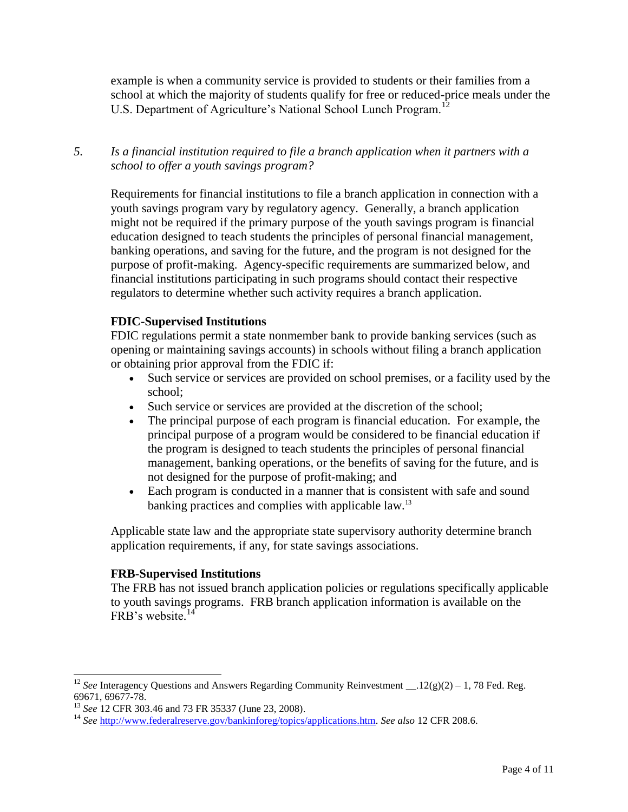example is when a community service is provided to students or their families from a school at which the majority of students qualify for free or reduced-price meals under the U.S. Department of Agriculture's National School Lunch Program.<sup>12</sup>

## *5. Is a financial institution required to file a branch application when it partners with a school to offer a youth savings program?*

Requirements for financial institutions to file a branch application in connection with a youth savings program vary by regulatory agency. Generally, a branch application might not be required if the primary purpose of the youth savings program is financial education designed to teach students the principles of personal financial management, banking operations, and saving for the future, and the program is not designed for the purpose of profit-making. Agency-specific requirements are summarized below, and financial institutions participating in such programs should contact their respective regulators to determine whether such activity requires a branch application.

### **FDIC-Supervised Institutions**

FDIC regulations permit a state nonmember bank to provide banking services (such as opening or maintaining savings accounts) in schools without filing a branch application or obtaining prior approval from the FDIC if:

- Such service or services are provided on school premises, or a facility used by the school;
- Such service or services are provided at the discretion of the school;
- The principal purpose of each program is financial education. For example, the principal purpose of a program would be considered to be financial education if the program is designed to teach students the principles of personal financial management, banking operations, or the benefits of saving for the future, and is not designed for the purpose of profit-making; and
- Each program is conducted in a manner that is consistent with safe and sound banking practices and complies with applicable law.<sup>13</sup>

Applicable state law and the appropriate state supervisory authority determine branch application requirements, if any, for state savings associations.

#### **FRB-Supervised Institutions**

The FRB has not issued branch application policies or regulations specifically applicable to youth savings programs. FRB branch application information is available on the FRB's website.<sup>14</sup>

<sup>&</sup>lt;sup>12</sup> *See* Interagency Questions and Answers Regarding Community Reinvestment \_\_.12(g)(2) – 1, 78 Fed. Reg. 69671, 69677-78.

<sup>13</sup> *See* 12 CFR 303.46 and 73 FR 35337 (June 23, 2008).

<sup>14</sup> *See* [http://www.federalreserve.gov/bankinforeg/topics/applications.htm.](http://www.federalreserve.gov/bankinforeg/topics/applications.htm) *See also* 12 CFR 208.6.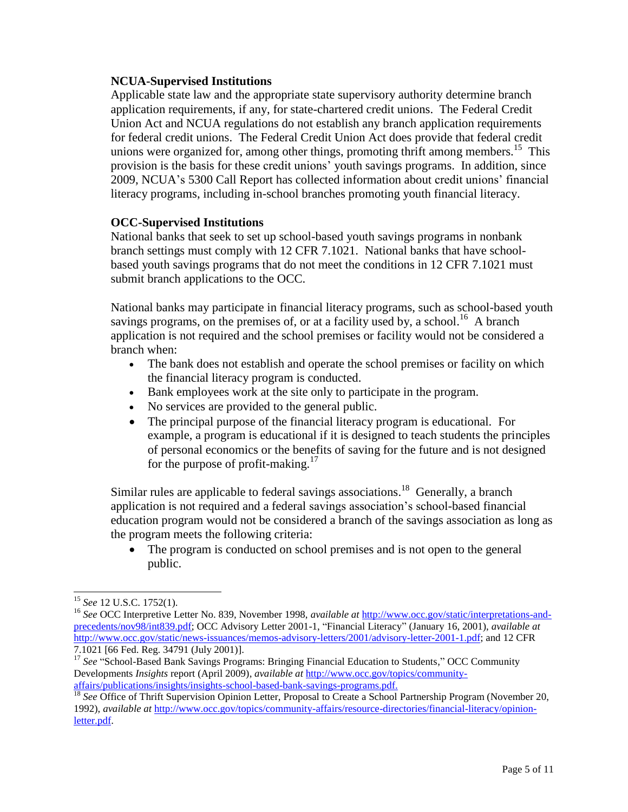#### **NCUA-Supervised Institutions**

Applicable state law and the appropriate state supervisory authority determine branch application requirements, if any, for state-chartered credit unions. The Federal Credit Union Act and NCUA regulations do not establish any branch application requirements for federal credit unions. The Federal Credit Union Act does provide that federal credit unions were organized for, among other things, promoting thrift among members.<sup>15</sup> This provision is the basis for these credit unions' youth savings programs. In addition, since 2009, NCUA's 5300 Call Report has collected information about credit unions' financial literacy programs, including in-school branches promoting youth financial literacy.

### **OCC-Supervised Institutions**

National banks that seek to set up school-based youth savings programs in nonbank branch settings must comply with 12 CFR 7.1021. National banks that have schoolbased youth savings programs that do not meet the conditions in 12 CFR 7.1021 must submit branch applications to the OCC.

National banks may participate in financial literacy programs, such as school-based youth savings programs, on the premises of, or at a facility used by, a school.<sup>16</sup> A branch application is not required and the school premises or facility would not be considered a branch when:

- The bank does not establish and operate the school premises or facility on which the financial literacy program is conducted.
- Bank employees work at the site only to participate in the program.
- No services are provided to the general public.
- The principal purpose of the financial literacy program is educational. For example, a program is educational if it is designed to teach students the principles of personal economics or the benefits of saving for the future and is not designed for the purpose of profit-making. $17$

Similar rules are applicable to federal savings associations.<sup>18</sup> Generally, a branch application is not required and a federal savings association's school-based financial education program would not be considered a branch of the savings association as long as the program meets the following criteria:

• The program is conducted on school premises and is not open to the general public.

 $\overline{a}$ <sup>15</sup> *See* 12 U.S.C. 1752(1).

<sup>16</sup> *See* OCC Interpretive Letter No. 839, November 1998, *available at* [http://www.occ.gov/static/interpretations-and](http://www.occ.gov/static/interpretations-and-precedents/nov98/int839.pdf)[precedents/nov98/int839.pdf;](http://www.occ.gov/static/interpretations-and-precedents/nov98/int839.pdf) OCC Advisory Letter 2001-1, "Financial Literacy" (January 16, 2001), *available at* [http://www.occ.gov/static/news-issuances/memos-advisory-letters/2001/advisory-letter-2001-1.pdf;](http://www.occ.gov/static/news-issuances/memos-advisory-letters/2001/advisory-letter-2001-1.pdf) and 12 CFR 7.1021 [66 Fed. Reg. 34791 (July 2001)].

<sup>&</sup>lt;sup>17</sup> See "School-Based Bank Savings Programs: Bringing Financial Education to Students," OCC Community Developments *Insights* report (April 2009), *available at* [http://www.occ.gov/topics/community](http://www.occ.gov/topics/community-affairs/publications/insights/insights-school-based-bank-savings-programs.pdf)[affairs/publications/insights/insights-school-based-bank-savings-programs.pdf.](http://www.occ.gov/topics/community-affairs/publications/insights/insights-school-based-bank-savings-programs.pdf)

<sup>&</sup>lt;sup>18</sup> See Office of Thrift Supervision Opinion Letter, Proposal to Create a School Partnership Program (November 20, 1992), *available at* [http://www.occ.gov/topics/community-affairs/resource-directories/financial-literacy/opinion](http://www.occ.gov/topics/community-affairs/resource-directories/financial-literacy/opinion-letter.pdf)[letter.pdf.](http://www.occ.gov/topics/community-affairs/resource-directories/financial-literacy/opinion-letter.pdf)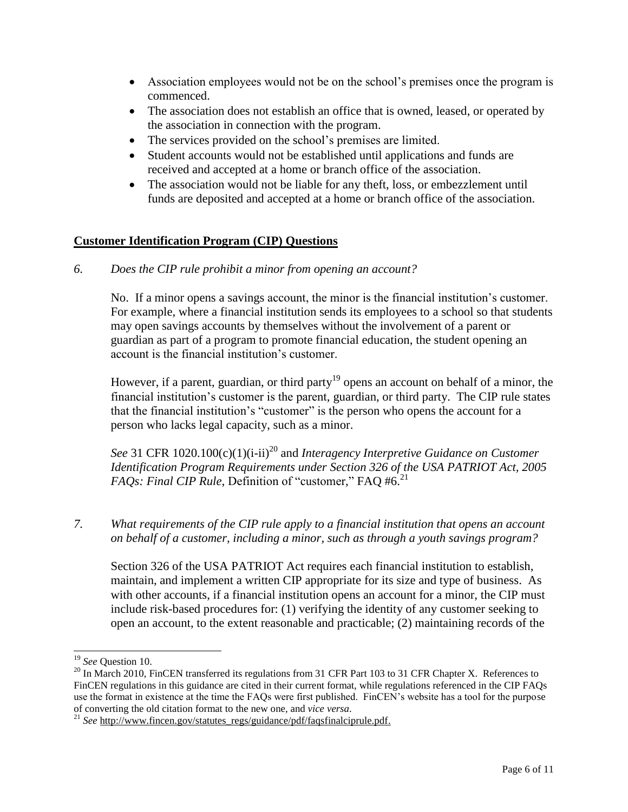- Association employees would not be on the school's premises once the program is commenced.
- The association does not establish an office that is owned, leased, or operated by the association in connection with the program.
- The services provided on the school's premises are limited.
- Student accounts would not be established until applications and funds are received and accepted at a home or branch office of the association.
- The association would not be liable for any theft, loss, or embezzlement until funds are deposited and accepted at a home or branch office of the association.

## **Customer Identification Program (CIP) Questions**

*6. Does the CIP rule prohibit a minor from opening an account?* 

No. If a minor opens a savings account, the minor is the financial institution's customer. For example, where a financial institution sends its employees to a school so that students may open savings accounts by themselves without the involvement of a parent or guardian as part of a program to promote financial education, the student opening an account is the financial institution's customer.

However, if a parent, guardian, or third party<sup>19</sup> opens an account on behalf of a minor, the financial institution's customer is the parent, guardian, or third party. The CIP rule states that the financial institution's "customer" is the person who opens the account for a person who lacks legal capacity, such as a minor.

*See* 31 CFR 1020.100(c)(1)(i-ii)<sup>20</sup> and *Interagency Interpretive Guidance on Customer Identification Program Requirements under Section 326 of the USA PATRIOT Act, 2005 FAQs: Final CIP Rule*, Definition of "customer," FAQ #6.<sup>21</sup>

*7. What requirements of the CIP rule apply to a financial institution that opens an account on behalf of a customer, including a minor, such as through a youth savings program?*

Section 326 of the USA PATRIOT Act requires each financial institution to establish, maintain, and implement a written CIP appropriate for its size and type of business. As with other accounts, if a financial institution opens an account for a minor, the CIP must include risk-based procedures for: (1) verifying the identity of any customer seeking to open an account, to the extent reasonable and practicable; (2) maintaining records of the

<sup>19</sup> *See* Question 10.

<sup>&</sup>lt;sup>20</sup> In March 2010, FinCEN transferred its regulations from 31 CFR Part 103 to 31 CFR Chapter X. References to FinCEN regulations in this guidance are cited in their current format, while regulations referenced in the CIP FAQs use the format in existence at the time the FAQs were first published. FinCEN's website has a tool for the purpose of converting the old citation format to the new one, and *vice versa*.

<sup>&</sup>lt;sup>21</sup> *See* [http://www.fincen.gov/statutes\\_regs/guidance/pdf/faqsfinalciprule.pdf.](http://www.fincen.gov/statutes_regs/guidance/pdf/faqsfinalciprule.pdf)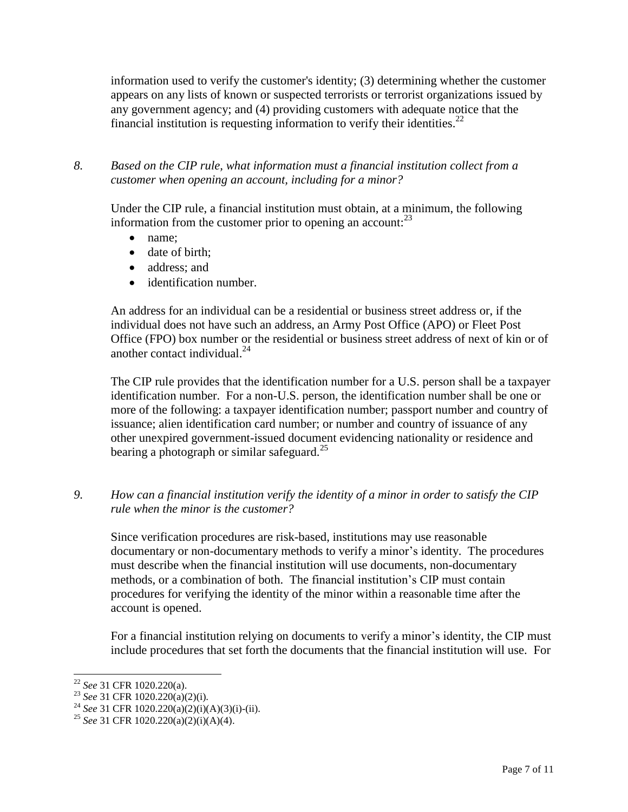information used to verify the customer's identity; (3) determining whether the customer appears on any lists of known or suspected terrorists or terrorist organizations issued by any government agency; and (4) providing customers with adequate notice that the financial institution is requesting information to verify their identities.<sup>22</sup>

*8. Based on the CIP rule, what information must a financial institution collect from a customer when opening an account, including for a minor?* 

Under the CIP rule, a financial institution must obtain, at a minimum, the following information from the customer prior to opening an account: $^{23}$ 

- name:
- date of birth;
- address; and
- identification number.

An address for an individual can be a residential or business street address or, if the individual does not have such an address, an Army Post Office (APO) or Fleet Post Office (FPO) box number or the residential or business street address of next of kin or of another contact individual. 24

The CIP rule provides that the identification number for a U.S. person shall be a taxpayer identification number. For a non-U.S. person, the identification number shall be one or more of the following: a taxpayer identification number; passport number and country of issuance; alien identification card number; or number and country of issuance of any other unexpired government-issued document evidencing nationality or residence and bearing a photograph or similar safeguard.<sup>25</sup>

*9. How can a financial institution verify the identity of a minor in order to satisfy the CIP rule when the minor is the customer?*

Since verification procedures are risk-based, institutions may use reasonable documentary or non-documentary methods to verify a minor's identity. The procedures must describe when the financial institution will use documents, non-documentary methods, or a combination of both. The financial institution's CIP must contain procedures for verifying the identity of the minor within a reasonable time after the account is opened.

For a financial institution relying on documents to verify a minor's identity, the CIP must include procedures that set forth the documents that the financial institution will use. For

<sup>22</sup> *See* 31 CFR 1020.220(a).

<sup>23</sup> *See* 31 CFR 1020.220(a)(2)(i).

<sup>24</sup> *See* 31 CFR 1020.220(a)(2)(i)(A)(3)(i)-(ii).

<sup>25</sup> *See* 31 CFR 1020.220(a)(2)(i)(A)(4).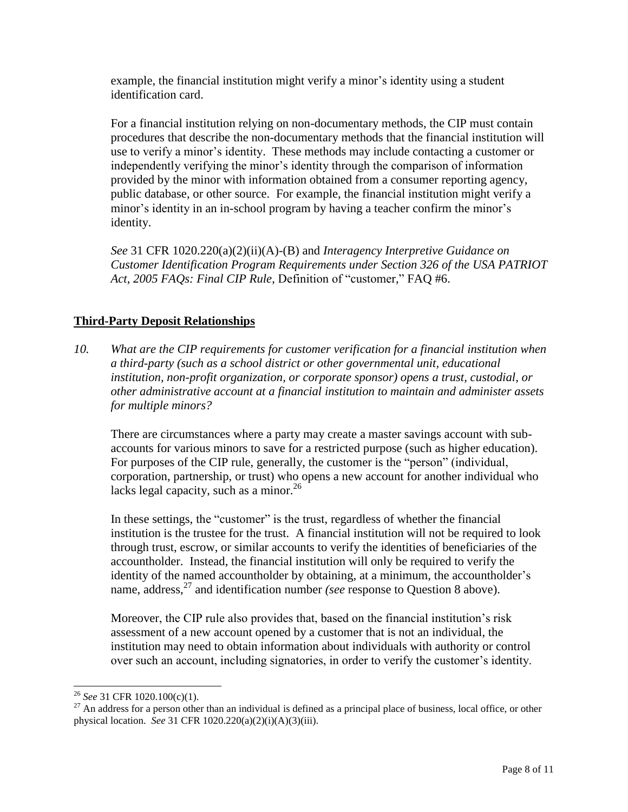example, the financial institution might verify a minor's identity using a student identification card.

For a financial institution relying on non-documentary methods, the CIP must contain procedures that describe the non-documentary methods that the financial institution will use to verify a minor's identity. These methods may include contacting a customer or independently verifying the minor's identity through the comparison of information provided by the minor with information obtained from a consumer reporting agency, public database, or other source. For example, the financial institution might verify a minor's identity in an in-school program by having a teacher confirm the minor's identity.

*See* 31 CFR 1020.220(a)(2)(ii)(A)-(B) and *Interagency Interpretive Guidance on Customer Identification Program Requirements under Section 326 of the USA PATRIOT Act*, *2005 FAQs: Final CIP Rule*, Definition of "customer," FAQ #6.

## **Third-Party Deposit Relationships**

*10. What are the CIP requirements for customer verification for a financial institution when a third-party (such as a school district or other governmental unit, educational institution, non-profit organization, or corporate sponsor) opens a trust, custodial, or other administrative account at a financial institution to maintain and administer assets for multiple minors?*

There are circumstances where a party may create a master savings account with subaccounts for various minors to save for a restricted purpose (such as higher education). For purposes of the CIP rule, generally, the customer is the "person" (individual, corporation, partnership, or trust) who opens a new account for another individual who lacks legal capacity, such as a minor.<sup>26</sup>

In these settings, the "customer" is the trust, regardless of whether the financial institution is the trustee for the trust. A financial institution will not be required to look through trust, escrow, or similar accounts to verify the identities of beneficiaries of the accountholder. Instead, the financial institution will only be required to verify the identity of the named accountholder by obtaining, at a minimum, the accountholder's name, address, <sup>27</sup> and identification number *(see* response to Question 8 above).

Moreover, the CIP rule also provides that, based on the financial institution's risk assessment of a new account opened by a customer that is not an individual, the institution may need to obtain information about individuals with authority or control over such an account, including signatories, in order to verify the customer's identity.

<sup>26</sup> *See* 31 CFR 1020.100(c)(1).

 $27$  An address for a person other than an individual is defined as a principal place of business, local office, or other physical location. *See* 31 CFR 1020.220(a)(2)(i)(A)(3)(iii).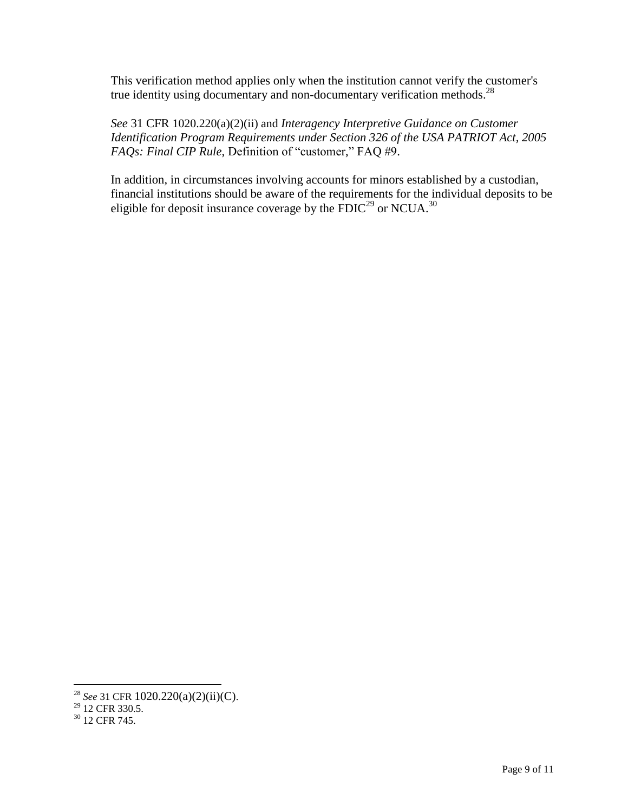This verification method applies only when the institution cannot verify the customer's true identity using documentary and non-documentary verification methods.<sup>28</sup>

*See* 31 CFR 1020.220(a)(2)(ii) and *Interagency Interpretive Guidance on Customer Identification Program Requirements under Section 326 of the USA PATRIOT Act, 2005 FAQs: Final CIP Rule*, Definition of "customer," FAQ #9.

In addition, in circumstances involving accounts for minors established by a custodian, financial institutions should be aware of the requirements for the individual deposits to be eligible for deposit insurance coverage by the  $\text{FDIC}^{29}$  or NCUA.<sup>30</sup>

 $\overline{a}$ 

<sup>28</sup> *See* 31 CFR 1020.220(a)(2)(ii)(C).

 $29$  12 CFR 330.5.

<sup>&</sup>lt;sup>30</sup> 12 CFR 745.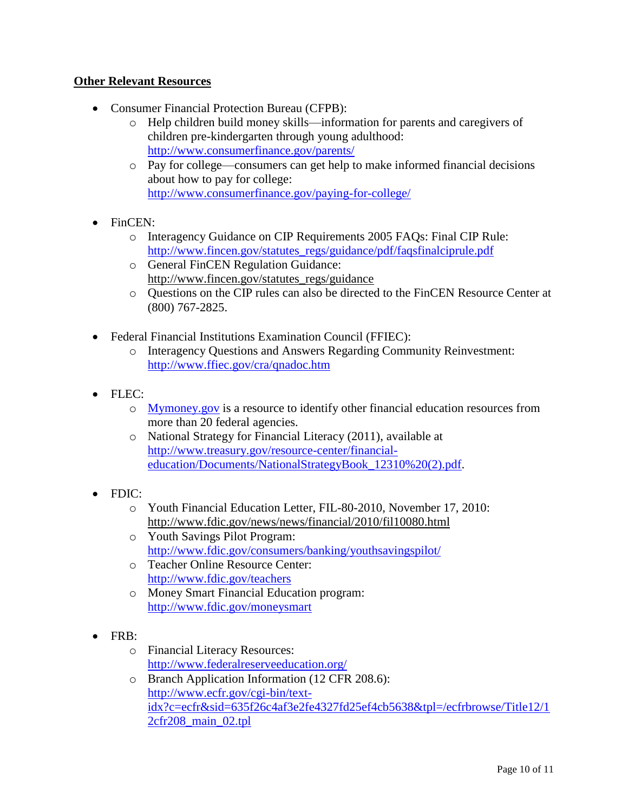## **Other Relevant Resources**

- Consumer Financial Protection Bureau (CFPB):
	- o Help children build money skills—information for parents and caregivers of children pre-kindergarten through young adulthood: <http://www.consumerfinance.gov/parents/>
	- o Pay for college—consumers can get help to make informed financial decisions about how to pay for college: <http://www.consumerfinance.gov/paying-for-college/>
- FinCEN:
	- o Interagency Guidance on CIP Requirements 2005 FAQs: Final CIP Rule: [http://www.fincen.gov/statutes\\_regs/guidance/pdf/faqsfinalciprule.pdf](http://www.fincen.gov/statutes_regs/guidance/pdf/faqsfinalciprule.pdf)
	- o General FinCEN Regulation Guidance: [http://www.fincen.gov/statutes\\_regs/guidance](http://www.fincen.gov/statutes_regs/guidance)
	- o Questions on the CIP rules can also be directed to the FinCEN Resource Center at (800) 767-2825.
- Federal Financial Institutions Examination Council (FFIEC):
	- o Interagency Questions and Answers Regarding Community Reinvestment: <http://www.ffiec.gov/cra/qnadoc.htm>
- FLEC:
	- o [Mymoney.gov](http://www.mymoney.gov/) is a resource to identify other financial education resources from more than 20 federal agencies.
	- o National Strategy for Financial Literacy (2011), available at [http://www.treasury.gov/resource-center/financial](http://www.treasury.gov/resource-center/financial-education/Documents/NationalStrategyBook_12310%20(2).pdf)[education/Documents/NationalStrategyBook\\_12310%20\(2\).pdf.](http://www.treasury.gov/resource-center/financial-education/Documents/NationalStrategyBook_12310%20(2).pdf)
- FDIC:
	- o Youth Financial Education Letter, FIL-80-2010, November 17, 2010: <http://www.fdic.gov/news/news/financial/2010/fil10080.html>
	- o Youth Savings Pilot Program: <http://www.fdic.gov/consumers/banking/youthsavingspilot/>
	- o Teacher Online Resource Center: http://www.fdic.gov/teachers
	- o Money Smart Financial Education program: <http://www.fdic.gov/moneysmart>
- FRB:
	- o Financial Literacy Resources: <http://www.federalreserveeducation.org/>
	- o Branch Application Information (12 CFR 208.6): [http://www.ecfr.gov/cgi-bin/text](http://www.ecfr.gov/cgi-bin/text-idx?c=ecfr&sid=635f26c4af3e2fe4327fd25ef4cb5638&tpl=/ecfrbrowse/Title12/12cfr208_main_02.tpl)[idx?c=ecfr&sid=635f26c4af3e2fe4327fd25ef4cb5638&tpl=/ecfrbrowse/Title12/1](http://www.ecfr.gov/cgi-bin/text-idx?c=ecfr&sid=635f26c4af3e2fe4327fd25ef4cb5638&tpl=/ecfrbrowse/Title12/12cfr208_main_02.tpl) [2cfr208\\_main\\_02.tpl](http://www.ecfr.gov/cgi-bin/text-idx?c=ecfr&sid=635f26c4af3e2fe4327fd25ef4cb5638&tpl=/ecfrbrowse/Title12/12cfr208_main_02.tpl)